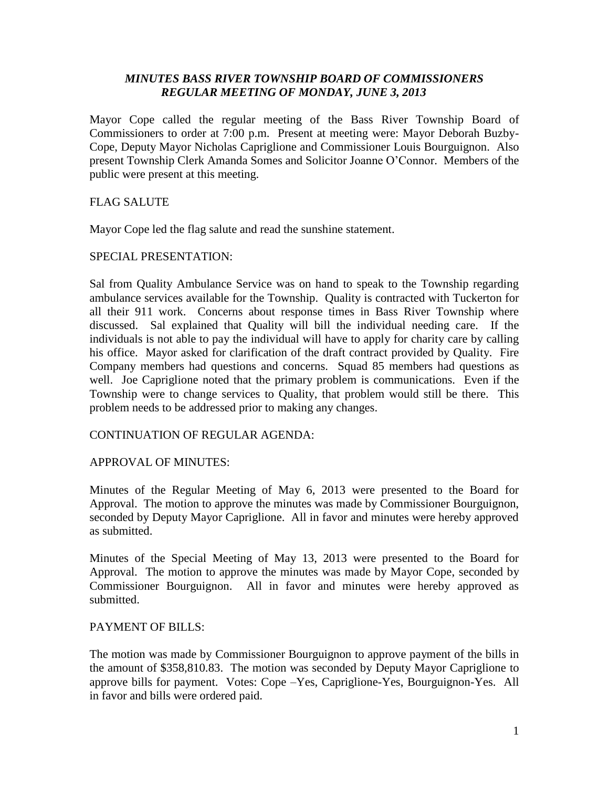# *MINUTES BASS RIVER TOWNSHIP BOARD OF COMMISSIONERS REGULAR MEETING OF MONDAY, JUNE 3, 2013*

Mayor Cope called the regular meeting of the Bass River Township Board of Commissioners to order at 7:00 p.m. Present at meeting were: Mayor Deborah Buzby-Cope, Deputy Mayor Nicholas Capriglione and Commissioner Louis Bourguignon. Also present Township Clerk Amanda Somes and Solicitor Joanne O'Connor. Members of the public were present at this meeting.

# FLAG SALUTE

Mayor Cope led the flag salute and read the sunshine statement.

# SPECIAL PRESENTATION:

Sal from Quality Ambulance Service was on hand to speak to the Township regarding ambulance services available for the Township. Quality is contracted with Tuckerton for all their 911 work. Concerns about response times in Bass River Township where discussed. Sal explained that Quality will bill the individual needing care. If the individuals is not able to pay the individual will have to apply for charity care by calling his office. Mayor asked for clarification of the draft contract provided by Quality. Fire Company members had questions and concerns. Squad 85 members had questions as well. Joe Capriglione noted that the primary problem is communications. Even if the Township were to change services to Quality, that problem would still be there. This problem needs to be addressed prior to making any changes.

# CONTINUATION OF REGULAR AGENDA:

## APPROVAL OF MINUTES:

Minutes of the Regular Meeting of May 6, 2013 were presented to the Board for Approval. The motion to approve the minutes was made by Commissioner Bourguignon, seconded by Deputy Mayor Capriglione. All in favor and minutes were hereby approved as submitted.

Minutes of the Special Meeting of May 13, 2013 were presented to the Board for Approval. The motion to approve the minutes was made by Mayor Cope, seconded by Commissioner Bourguignon. All in favor and minutes were hereby approved as submitted.

## PAYMENT OF BILLS:

The motion was made by Commissioner Bourguignon to approve payment of the bills in the amount of \$358,810.83. The motion was seconded by Deputy Mayor Capriglione to approve bills for payment. Votes: Cope –Yes, Capriglione-Yes, Bourguignon-Yes. All in favor and bills were ordered paid.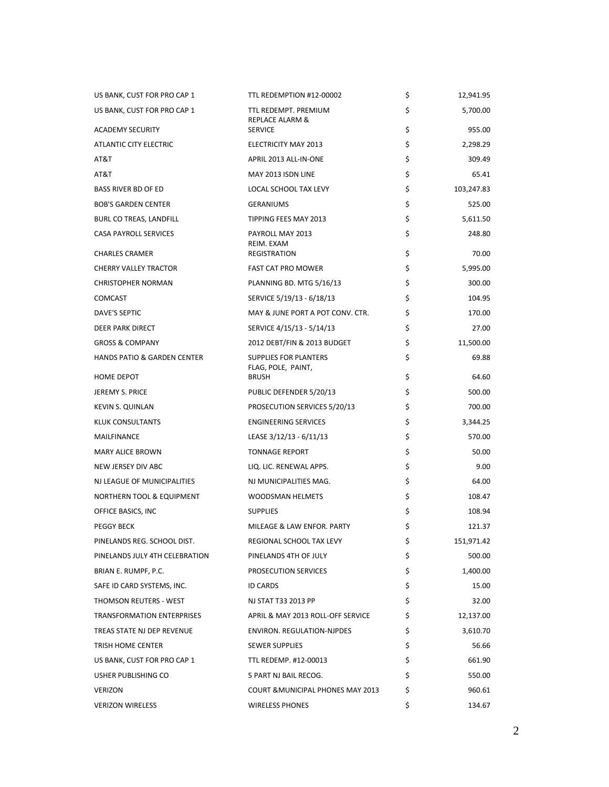| US BANK, CUST FOR PRO CAP 1            | TTL REDEMPTION #12-00002                           | \$ | 12,941.95  |
|----------------------------------------|----------------------------------------------------|----|------------|
| US BANK, CUST FOR PRO CAP 1            | TTL REDEMPT. PREMIUM<br><b>REPLACE ALARM &amp;</b> | \$ | 5,700.00   |
| <b>ACADEMY SECURITY</b>                | <b>SERVICE</b>                                     | \$ | 955.00     |
| <b>ATLANTIC CITY ELECTRIC</b>          | <b>ELECTRICITY MAY 2013</b>                        | \$ | 2,298.29   |
| AT&T                                   | APRIL 2013 ALL-IN-ONE                              | \$ | 309.49     |
| AT&T                                   | MAY 2013 ISDN LINE                                 | \$ | 65.41      |
| <b>BASS RIVER BD OF ED</b>             | LOCAL SCHOOL TAX LEVY                              | \$ | 103,247.83 |
| <b>BOB'S GARDEN CENTER</b>             | <b>GERANIUMS</b>                                   | \$ | 525.00     |
| BURL CO TREAS, LANDFILL                | TIPPING FEES MAY 2013                              | \$ | 5,611.50   |
| <b>CASA PAYROLL SERVICES</b>           | PAYROLL MAY 2013<br>REIM. EXAM                     | \$ | 248.80     |
| <b>CHARLES CRAMER</b>                  | <b>REGISTRATION</b>                                | \$ | 70.00      |
| <b>CHERRY VALLEY TRACTOR</b>           | <b>FAST CAT PRO MOWER</b>                          | \$ | 5,995.00   |
| <b>CHRISTOPHER NORMAN</b>              | PLANNING BD. MTG 5/16/13                           | \$ | 300.00     |
| <b>COMCAST</b>                         | SERVICE 5/19/13 - 6/18/13                          | \$ | 104.95     |
| DAVE'S SEPTIC                          | MAY & JUNE PORT A POT CONV. CTR.                   | \$ | 170.00     |
| DEER PARK DIRECT                       | SERVICE 4/15/13 - 5/14/13                          | \$ | 27.00      |
| <b>GROSS &amp; COMPANY</b>             | 2012 DEBT/FIN & 2013 BUDGET                        | \$ | 11,500.00  |
| <b>HANDS PATIO &amp; GARDEN CENTER</b> | SUPPLIES FOR PLANTERS<br>FLAG, POLE, PAINT,        | \$ | 69.88      |
| <b>HOME DEPOT</b>                      | <b>BRUSH</b>                                       | \$ | 64.60      |
| JEREMY S. PRICE                        | PUBLIC DEFENDER 5/20/13                            | \$ | 500.00     |
| <b>KEVIN S. QUINLAN</b>                | PROSECUTION SERVICES 5/20/13                       | \$ | 700.00     |
| KLUK CONSULTANTS                       | <b>ENGINEERING SERVICES</b>                        | \$ | 3,344.25   |
| MAILFINANCE                            | LEASE 3/12/13 - 6/11/13                            | \$ | 570.00     |
| <b>MARY ALICE BROWN</b>                | <b>TONNAGE REPORT</b>                              | \$ | 50.00      |
| NEW JERSEY DIV ABC                     | LIQ. LIC. RENEWAL APPS.                            | \$ | 9.00       |
| NJ LEAGUE OF MUNICIPALITIES            | NJ MUNICIPALITIES MAG.                             | \$ | 64.00      |
| NORTHERN TOOL & EQUIPMENT              | <b>WOODSMAN HELMETS</b>                            | \$ | 108.47     |
| OFFICE BASICS, INC                     | <b>SUPPLIES</b>                                    | \$ | 108.94     |
| <b>PEGGY BECK</b>                      | MILEAGE & LAW ENFOR, PARTY                         | \$ | 121.37     |
| PINELANDS REG. SCHOOL DIST.            | REGIONAL SCHOOL TAX LEVY                           | Ş  | 151,971.42 |
| PINELANDS JULY 4TH CELEBRATION         | PINELANDS 4TH OF JULY                              | \$ | 500.00     |
| BRIAN E. RUMPF, P.C.                   | PROSECUTION SERVICES                               | \$ | 1,400.00   |
| SAFE ID CARD SYSTEMS, INC.             | <b>ID CARDS</b>                                    | \$ | 15.00      |
| THOMSON REUTERS - WEST                 | NJ STAT T33 2013 PP                                | \$ | 32.00      |
| TRANSFORMATION ENTERPRISES             | APRIL & MAY 2013 ROLL-OFF SERVICE                  | \$ | 12,137.00  |
| TREAS STATE NJ DEP REVENUE             | ENVIRON. REGULATION-NJPDES                         | \$ | 3,610.70   |
| TRISH HOME CENTER                      | <b>SEWER SUPPLIES</b>                              | \$ | 56.66      |
| US BANK, CUST FOR PRO CAP 1            | TTL REDEMP. #12-00013                              | \$ | 661.90     |
| USHER PUBLISHING CO                    | 5 PART NJ BAIL RECOG.                              | \$ | 550.00     |
| <b>VERIZON</b>                         | <b>COURT &amp; MUNICIPAL PHONES MAY 2013</b>       | \$ | 960.61     |
| <b>VERIZON WIRELESS</b>                | <b>WIRELESS PHONES</b>                             | \$ | 134.67     |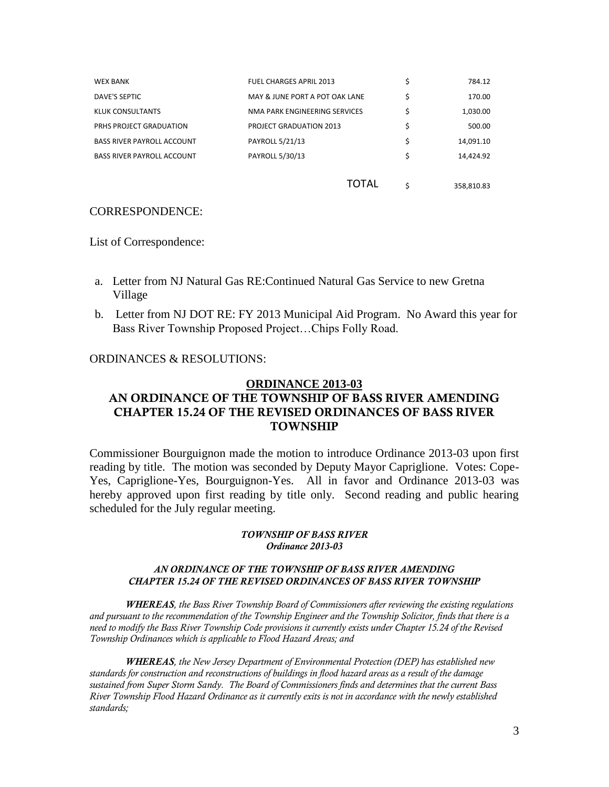| <b>WEX BANK</b>                   | <b>FUEL CHARGES APRIL 2013</b> | \$ | 784.12     |
|-----------------------------------|--------------------------------|----|------------|
| DAVE'S SEPTIC                     | MAY & JUNE PORT A POT OAK LANE | \$ | 170.00     |
| KLUK CONSULTANTS                  | NMA PARK ENGINEERING SERVICES  | \$ | 1,030.00   |
| PRHS PROJECT GRADUATION           | <b>PROJECT GRADUATION 2013</b> | \$ | 500.00     |
| <b>BASS RIVER PAYROLL ACCOUNT</b> | PAYROLL 5/21/13                | \$ | 14,091.10  |
| <b>BASS RIVER PAYROLL ACCOUNT</b> | PAYROLL 5/30/13                | \$ | 14,424.92  |
|                                   |                                |    |            |
|                                   | TOTAL                          | Ś  | 358,810.83 |

# CORRESPONDENCE:

List of Correspondence:

- a. Letter from NJ Natural Gas RE:Continued Natural Gas Service to new Gretna Village
- b. Letter from NJ DOT RE: FY 2013 Municipal Aid Program. No Award this year for Bass River Township Proposed Project…Chips Folly Road.

## ORDINANCES & RESOLUTIONS:

# **ORDINANCE 2013-03 AN ORDINANCE OF THE TOWNSHIP OF BASS RIVER AMENDING CHAPTER 15.24 OF THE REVISED ORDINANCES OF BASS RIVER TOWNSHIP**

Commissioner Bourguignon made the motion to introduce Ordinance 2013-03 upon first reading by title. The motion was seconded by Deputy Mayor Capriglione. Votes: Cope-Yes, Capriglione-Yes, Bourguignon-Yes. All in favor and Ordinance 2013-03 was hereby approved upon first reading by title only. Second reading and public hearing scheduled for the July regular meeting.

## *TOWNSHIP OF BASS RIVER Ordinance 2013-03*

### *AN ORDINANCE OF THE TOWNSHIP OF BASS RIVER AMENDING CHAPTER 15.24 OF THE REVISED ORDINANCES OF BASS RIVER TOWNSHIP*

*WHEREAS, the Bass River Township Board of Commissioners after reviewing the existing regulations and pursuant to the recommendation of the Township Engineer and the Township Solicitor, finds that there is a need to modify the Bass River Township Code provisions it currently exists under Chapter 15.24 of the Revised Township Ordinances which is applicable to Flood Hazard Areas; and*

*WHEREAS, the New Jersey Department of Environmental Protection (DEP) has established new standards for construction and reconstructions of buildings in flood hazard areas as a result of the damage sustained from Super Storm Sandy. The Board of Commissioners finds and determines that the current Bass River Township Flood Hazard Ordinance as it currently exits is not in accordance with the newly established standards;*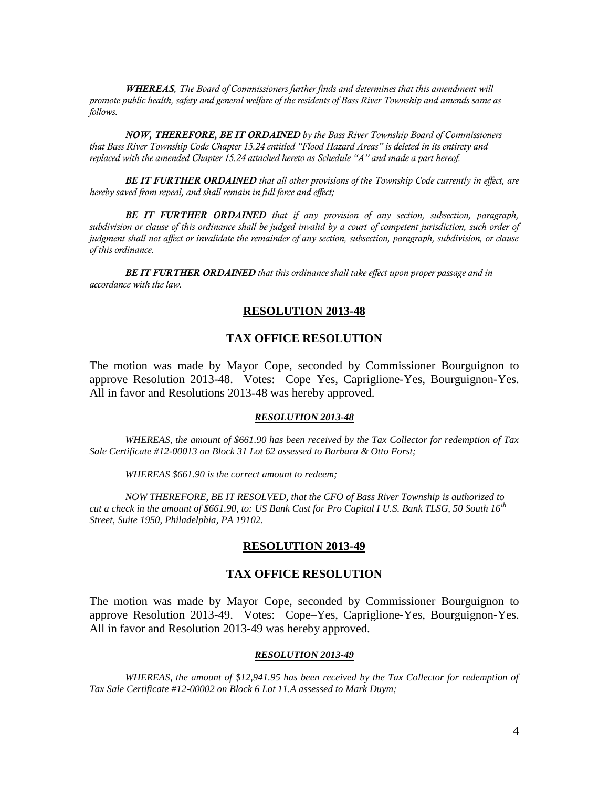*WHEREAS, The Board of Commissioners further finds and determines that this amendment will promote public health, safety and general welfare of the residents of Bass River Township and amends same as follows.*

*NOW, THEREFORE, BE IT ORDAINED by the Bass River Township Board of Commissioners that Bass River Township Code Chapter 15.24 entitled "Flood Hazard Areas" is deleted in its entirety and replaced with the amended Chapter 15.24 attached hereto as Schedule "A" and made a part hereof.* 

*BE IT FURTHER ORDAINED that all other provisions of the Township Code currently in effect, are hereby saved from repeal, and shall remain in full force and effect;* 

*BE IT FURTHER ORDAINED that if any provision of any section, subsection, paragraph, subdivision or clause of this ordinance shall be judged invalid by a court of competent jurisdiction, such order of judgment shall not affect or invalidate the remainder of any section, subsection, paragraph, subdivision, or clause of this ordinance.*

*BE IT FURTHER ORDAINED that this ordinance shall take effect upon proper passage and in accordance with the law.*

## **RESOLUTION 2013-48**

## **TAX OFFICE RESOLUTION**

The motion was made by Mayor Cope, seconded by Commissioner Bourguignon to approve Resolution 2013-48. Votes: Cope–Yes, Capriglione-Yes, Bourguignon-Yes. All in favor and Resolutions 2013-48 was hereby approved.

#### *RESOLUTION 2013-48*

*WHEREAS, the amount of \$661.90 has been received by the Tax Collector for redemption of Tax Sale Certificate #12-00013 on Block 31 Lot 62 assessed to Barbara & Otto Forst;*

*WHEREAS \$661.90 is the correct amount to redeem;*

*NOW THEREFORE, BE IT RESOLVED, that the CFO of Bass River Township is authorized to cut a check in the amount of \$661.90, to: US Bank Cust for Pro Capital I U.S. Bank TLSG, 50 South 16th Street, Suite 1950, Philadelphia, PA 19102.*

## **RESOLUTION 2013-49**

# **TAX OFFICE RESOLUTION**

The motion was made by Mayor Cope, seconded by Commissioner Bourguignon to approve Resolution 2013-49. Votes: Cope–Yes, Capriglione-Yes, Bourguignon-Yes. All in favor and Resolution 2013-49 was hereby approved.

#### *RESOLUTION 2013-49*

WHEREAS, the amount of \$12,941.95 has been received by the Tax Collector for redemption of *Tax Sale Certificate #12-00002 on Block 6 Lot 11.A assessed to Mark Duym;*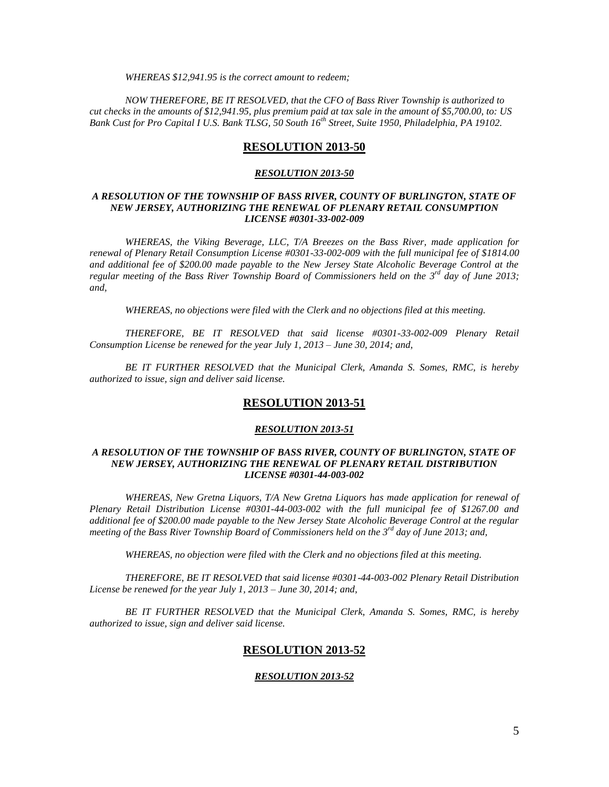*WHEREAS \$12,941.95 is the correct amount to redeem;*

*NOW THEREFORE, BE IT RESOLVED, that the CFO of Bass River Township is authorized to cut checks in the amounts of \$12,941.95, plus premium paid at tax sale in the amount of \$5,700.00, to: US Bank Cust for Pro Capital I U.S. Bank TLSG, 50 South 16th Street, Suite 1950, Philadelphia, PA 19102.*

## **RESOLUTION 2013-50**

#### *RESOLUTION 2013-50*

#### *A RESOLUTION OF THE TOWNSHIP OF BASS RIVER, COUNTY OF BURLINGTON, STATE OF NEW JERSEY, AUTHORIZING THE RENEWAL OF PLENARY RETAIL CONSUMPTION LICENSE #0301-33-002-009*

*WHEREAS, the Viking Beverage, LLC, T/A Breezes on the Bass River, made application for renewal of Plenary Retail Consumption License #0301-33-002-009 with the full municipal fee of \$1814.00 and additional fee of \$200.00 made payable to the New Jersey State Alcoholic Beverage Control at the*  regular meeting of the Bass River Township Board of Commissioners held on the 3<sup>rd</sup> day of June 2013; *and,*

*WHEREAS, no objections were filed with the Clerk and no objections filed at this meeting.*

*THEREFORE, BE IT RESOLVED that said license #0301-33-002-009 Plenary Retail Consumption License be renewed for the year July 1, 2013 – June 30, 2014; and,*

*BE IT FURTHER RESOLVED that the Municipal Clerk, Amanda S. Somes, RMC, is hereby authorized to issue, sign and deliver said license.*

## **RESOLUTION 2013-51**

#### *RESOLUTION 2013-51*

### *A RESOLUTION OF THE TOWNSHIP OF BASS RIVER, COUNTY OF BURLINGTON, STATE OF NEW JERSEY, AUTHORIZING THE RENEWAL OF PLENARY RETAIL DISTRIBUTION LICENSE #0301-44-003-002*

*WHEREAS, New Gretna Liquors, T/A New Gretna Liquors has made application for renewal of Plenary Retail Distribution License #0301-44-003-002 with the full municipal fee of \$1267.00 and additional fee of \$200.00 made payable to the New Jersey State Alcoholic Beverage Control at the regular meeting of the Bass River Township Board of Commissioners held on the 3rd day of June 2013; and,*

*WHEREAS, no objection were filed with the Clerk and no objections filed at this meeting.*

*THEREFORE, BE IT RESOLVED that said license #0301-44-003-002 Plenary Retail Distribution License be renewed for the year July 1, 2013 – June 30, 2014; and,*

*BE IT FURTHER RESOLVED that the Municipal Clerk, Amanda S. Somes, RMC, is hereby authorized to issue, sign and deliver said license.*

## **RESOLUTION 2013-52**

#### *RESOLUTION 2013-52*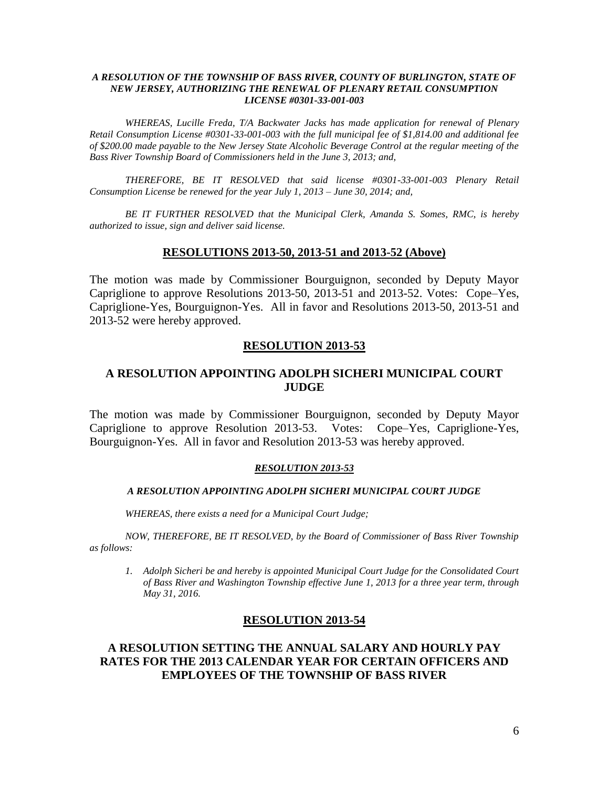## *A RESOLUTION OF THE TOWNSHIP OF BASS RIVER, COUNTY OF BURLINGTON, STATE OF NEW JERSEY, AUTHORIZING THE RENEWAL OF PLENARY RETAIL CONSUMPTION LICENSE #0301-33-001-003*

*WHEREAS, Lucille Freda, T/A Backwater Jacks has made application for renewal of Plenary Retail Consumption License #0301-33-001-003 with the full municipal fee of \$1,814.00 and additional fee of \$200.00 made payable to the New Jersey State Alcoholic Beverage Control at the regular meeting of the Bass River Township Board of Commissioners held in the June 3, 2013; and,*

*THEREFORE, BE IT RESOLVED that said license #0301-33-001-003 Plenary Retail Consumption License be renewed for the year July 1, 2013 – June 30, 2014; and,*

*BE IT FURTHER RESOLVED that the Municipal Clerk, Amanda S. Somes, RMC, is hereby authorized to issue, sign and deliver said license.*

## **RESOLUTIONS 2013-50, 2013-51 and 2013-52 (Above)**

The motion was made by Commissioner Bourguignon, seconded by Deputy Mayor Capriglione to approve Resolutions 2013-50, 2013-51 and 2013-52. Votes: Cope–Yes, Capriglione-Yes, Bourguignon-Yes. All in favor and Resolutions 2013-50, 2013-51 and 2013-52 were hereby approved.

## **RESOLUTION 2013-53**

# **A RESOLUTION APPOINTING ADOLPH SICHERI MUNICIPAL COURT JUDGE**

The motion was made by Commissioner Bourguignon, seconded by Deputy Mayor Capriglione to approve Resolution 2013-53. Votes: Cope–Yes, Capriglione-Yes, Bourguignon-Yes. All in favor and Resolution 2013-53 was hereby approved.

#### *RESOLUTION 2013-53*

## *A RESOLUTION APPOINTING ADOLPH SICHERI MUNICIPAL COURT JUDGE*

*WHEREAS, there exists a need for a Municipal Court Judge;*

*NOW, THEREFORE, BE IT RESOLVED, by the Board of Commissioner of Bass River Township as follows:*

*1. Adolph Sicheri be and hereby is appointed Municipal Court Judge for the Consolidated Court of Bass River and Washington Township effective June 1, 2013 for a three year term, through May 31, 2016.*

## **RESOLUTION 2013-54**

# **A RESOLUTION SETTING THE ANNUAL SALARY AND HOURLY PAY RATES FOR THE 2013 CALENDAR YEAR FOR CERTAIN OFFICERS AND EMPLOYEES OF THE TOWNSHIP OF BASS RIVER**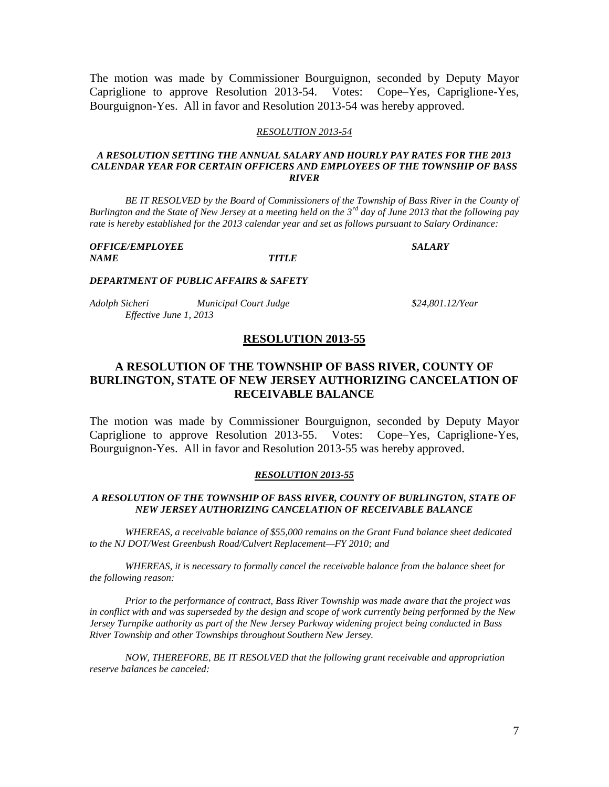The motion was made by Commissioner Bourguignon, seconded by Deputy Mayor Capriglione to approve Resolution 2013-54. Votes: Cope–Yes, Capriglione-Yes, Bourguignon-Yes. All in favor and Resolution 2013-54 was hereby approved.

#### *RESOLUTION 2013-54*

#### *A RESOLUTION SETTING THE ANNUAL SALARY AND HOURLY PAY RATES FOR THE 2013 CALENDAR YEAR FOR CERTAIN OFFICERS AND EMPLOYEES OF THE TOWNSHIP OF BASS RIVER*

*BE IT RESOLVED by the Board of Commissioners of the Township of Bass River in the County of Burlington and the State of New Jersey at a meeting held on the 3rd day of June 2013 that the following pay rate is hereby established for the 2013 calendar year and set as follows pursuant to Salary Ordinance:*

| <b>OFFICE/EMPLOYEE</b> |                     | <i><b>SALARY</b></i> |
|------------------------|---------------------|----------------------|
| <i>NAME</i>            | <i><b>TITLE</b></i> |                      |

#### *DEPARTMENT OF PUBLIC AFFAIRS & SAFETY*

| Adolph Sicheri         | <b>Municipal Court Judge</b> |
|------------------------|------------------------------|
| Effective June 1, 2013 |                              |

*Adolph Sicheri Municipal Court Judge \$24,801.12/Year*

## **RESOLUTION 2013-55**

# **A RESOLUTION OF THE TOWNSHIP OF BASS RIVER, COUNTY OF BURLINGTON, STATE OF NEW JERSEY AUTHORIZING CANCELATION OF RECEIVABLE BALANCE**

The motion was made by Commissioner Bourguignon, seconded by Deputy Mayor Capriglione to approve Resolution 2013-55. Votes: Cope–Yes, Capriglione-Yes, Bourguignon-Yes. All in favor and Resolution 2013-55 was hereby approved.

#### *RESOLUTION 2013-55*

### *A RESOLUTION OF THE TOWNSHIP OF BASS RIVER, COUNTY OF BURLINGTON, STATE OF NEW JERSEY AUTHORIZING CANCELATION OF RECEIVABLE BALANCE*

*WHEREAS, a receivable balance of \$55,000 remains on the Grant Fund balance sheet dedicated to the NJ DOT/West Greenbush Road/Culvert Replacement—FY 2010; and*

*WHEREAS, it is necessary to formally cancel the receivable balance from the balance sheet for the following reason:*

*Prior to the performance of contract, Bass River Township was made aware that the project was in conflict with and was superseded by the design and scope of work currently being performed by the New Jersey Turnpike authority as part of the New Jersey Parkway widening project being conducted in Bass River Township and other Townships throughout Southern New Jersey.*

*NOW, THEREFORE, BE IT RESOLVED that the following grant receivable and appropriation reserve balances be canceled:*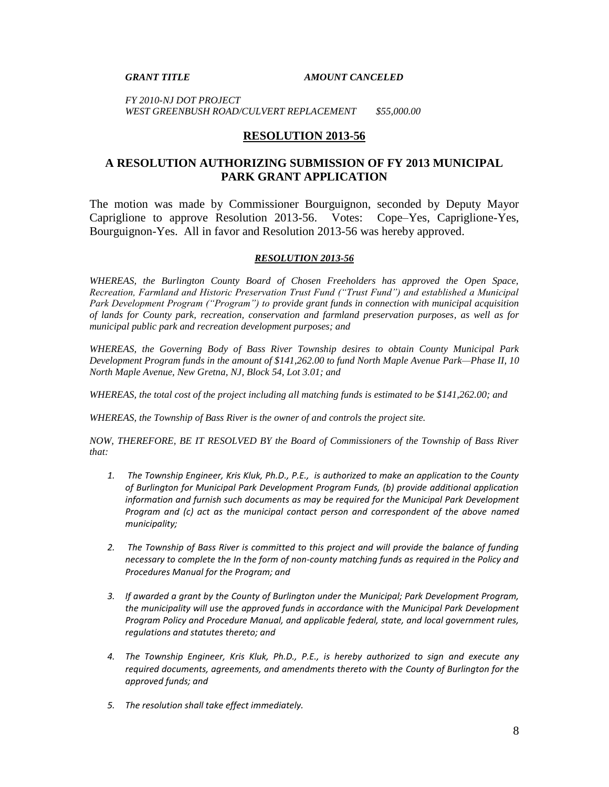#### *GRANT TITLE AMOUNT CANCELED*

*FY 2010-NJ DOT PROJECT WEST GREENBUSH ROAD/CULVERT REPLACEMENT \$55,000.00*

## **RESOLUTION 2013-56**

# **A RESOLUTION AUTHORIZING SUBMISSION OF FY 2013 MUNICIPAL PARK GRANT APPLICATION**

The motion was made by Commissioner Bourguignon, seconded by Deputy Mayor Capriglione to approve Resolution 2013-56. Votes: Cope–Yes, Capriglione-Yes, Bourguignon-Yes. All in favor and Resolution 2013-56 was hereby approved.

### *RESOLUTION 2013-56*

*WHEREAS, the Burlington County Board of Chosen Freeholders has approved the Open Space, Recreation, Farmland and Historic Preservation Trust Fund ("Trust Fund") and established a Municipal Park Development Program ("Program") to provide grant funds in connection with municipal acquisition of lands for County park, recreation, conservation and farmland preservation purposes, as well as for municipal public park and recreation development purposes; and*

*WHEREAS, the Governing Body of Bass River Township desires to obtain County Municipal Park Development Program funds in the amount of \$141,262.00 to fund North Maple Avenue Park—Phase II, 10 North Maple Avenue, New Gretna, NJ, Block 54, Lot 3.01; and*

*WHEREAS, the total cost of the project including all matching funds is estimated to be \$141,262.00; and*

*WHEREAS, the Township of Bass River is the owner of and controls the project site.*

*NOW, THEREFORE, BE IT RESOLVED BY the Board of Commissioners of the Township of Bass River that:*

- *1. The Township Engineer, Kris Kluk, Ph.D., P.E., is authorized to make an application to the County of Burlington for Municipal Park Development Program Funds, (b) provide additional application information and furnish such documents as may be required for the Municipal Park Development Program and (c) act as the municipal contact person and correspondent of the above named municipality;*
- *2. The Township of Bass River is committed to this project and will provide the balance of funding necessary to complete the In the form of non-county matching funds as required in the Policy and Procedures Manual for the Program; and*
- *3. If awarded a grant by the County of Burlington under the Municipal; Park Development Program, the municipality will use the approved funds in accordance with the Municipal Park Development Program Policy and Procedure Manual, and applicable federal, state, and local government rules, regulations and statutes thereto; and*
- *4. The Township Engineer, Kris Kluk, Ph.D., P.E., is hereby authorized to sign and execute any required documents, agreements, and amendments thereto with the County of Burlington for the approved funds; and*
- *5. The resolution shall take effect immediately.*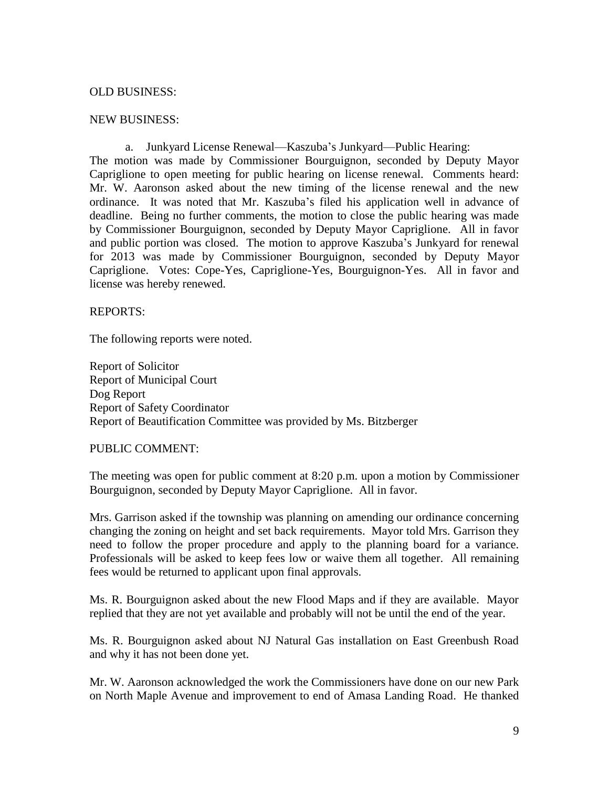# OLD BUSINESS:

## NEW BUSINESS:

a. Junkyard License Renewal—Kaszuba's Junkyard—Public Hearing: The motion was made by Commissioner Bourguignon, seconded by Deputy Mayor Capriglione to open meeting for public hearing on license renewal. Comments heard: Mr. W. Aaronson asked about the new timing of the license renewal and the new ordinance. It was noted that Mr. Kaszuba's filed his application well in advance of deadline. Being no further comments, the motion to close the public hearing was made by Commissioner Bourguignon, seconded by Deputy Mayor Capriglione. All in favor and public portion was closed. The motion to approve Kaszuba's Junkyard for renewal for 2013 was made by Commissioner Bourguignon, seconded by Deputy Mayor Capriglione. Votes: Cope-Yes, Capriglione-Yes, Bourguignon-Yes. All in favor and license was hereby renewed.

# REPORTS:

The following reports were noted.

Report of Solicitor Report of Municipal Court Dog Report Report of Safety Coordinator Report of Beautification Committee was provided by Ms. Bitzberger

# PUBLIC COMMENT:

The meeting was open for public comment at 8:20 p.m. upon a motion by Commissioner Bourguignon, seconded by Deputy Mayor Capriglione. All in favor.

Mrs. Garrison asked if the township was planning on amending our ordinance concerning changing the zoning on height and set back requirements. Mayor told Mrs. Garrison they need to follow the proper procedure and apply to the planning board for a variance. Professionals will be asked to keep fees low or waive them all together. All remaining fees would be returned to applicant upon final approvals.

Ms. R. Bourguignon asked about the new Flood Maps and if they are available. Mayor replied that they are not yet available and probably will not be until the end of the year.

Ms. R. Bourguignon asked about NJ Natural Gas installation on East Greenbush Road and why it has not been done yet.

Mr. W. Aaronson acknowledged the work the Commissioners have done on our new Park on North Maple Avenue and improvement to end of Amasa Landing Road. He thanked